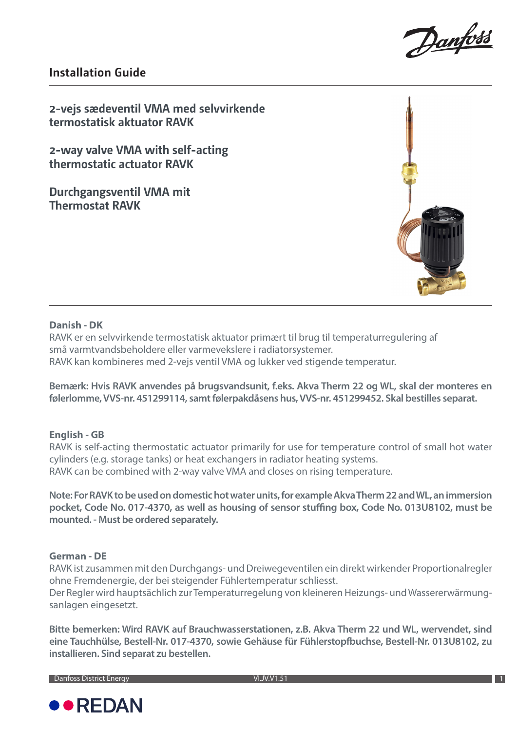

## **Installation Guide**

**2-vejs sædeventil VMA med selvvirkende termostatisk aktuator RAVK**

**2-way valve VMA with self-acting thermostatic actuator RAVK**

**Durchgangsventil VMA mit Thermostat RAVK** 



### **Danish - DK**

RAVK er en selvvirkende termostatisk aktuator primært til brug til temperaturregulering af små varmtvandsbeholdere eller varmevekslere i radiatorsystemer. RAVK kan kombineres med 2-vejs ventil VMA og lukker ved stigende temperatur.

**Bemærk: Hvis RAVK anvendes på brugsvandsunit, f.eks. Akva Therm 22 og WL, skal der monteres en følerlomme, VVS-nr. 451299114, samt følerpakdåsens hus, VVS-nr. 451299452. Skal bestilles separat.**

## **English - GB**

RAVK is self-acting thermostatic actuator primarily for use for temperature control of small hot water cylinders (e.g. storage tanks) or heat exchangers in radiator heating systems. RAVK can be combined with 2-way valve VMA and closes on rising temperature.

**Note: For RAVK to be used on domestic hot water units, for example Akva Therm 22 and WL, an immersion pocket, Code No. 017-4370, as well as housing of sensor stuffing box, Code No. 013U8102, must be mounted. - Must be ordered separately.**

## **German - DE**

RAVK ist zusammen mit den Durchgangs- und Dreiwegeventilen ein direkt wirkender Proportionalregler ohne Fremdenergie, der bei steigender Fühlertemperatur schliesst.

Der Regler wird hauptsächlich zur Temperaturregelung von kleineren Heizungs- und Wassererwärmungsanlagen eingesetzt.

**Bitte bemerken: Wird RAVK auf Brauchwasserstationen, z.B. Akva Therm 22 und WL, wervendet, sind eine Tauchhülse, Bestell-Nr. 017-4370, sowie Gehäuse für Fühlerstopfbuchse, Bestell-Nr. 013U8102, zu installieren. Sind separat zu bestellen.**

**Danfoss District Energy** 

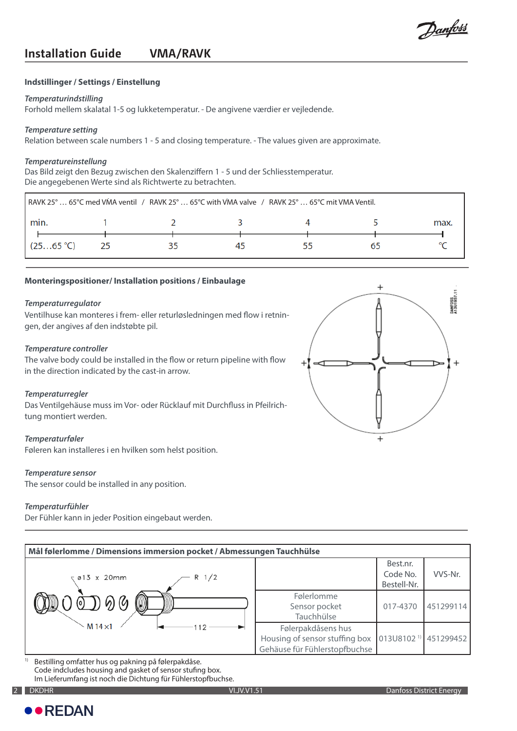Danfoss

# **Installation Guide VMA/RAVK**

#### **Indstillinger / Settings / Einstellung**

#### *Temperaturindstilling*

Forhold mellem skalatal 1-5 og lukketemperatur. - De angivene værdier er vejledende.

#### *Temperature setting*

Relation between scale numbers 1 - 5 and closing temperature. - The values given are approximate.

#### *Temperatureinstellung*

Das Bild zeigt den Bezug zwischen den Skalenziffern 1 - 5 und der Schliesstemperatur. Die angegebenen Werte sind als Richtwerte zu betrachten.

| RAVK 25° 65°C med VMA ventil / RAVK 25° 65°C with VMA valve / RAVK 25° 65°C mit VMA Ventil. |    |  |    |  |    |      |  |
|---------------------------------------------------------------------------------------------|----|--|----|--|----|------|--|
| min.                                                                                        |    |  |    |  |    | max. |  |
| (2565 °C)                                                                                   | 25 |  | 45 |  | רח |      |  |

#### **Monteringspositioner/ Installation positions / Einbaulage**

#### *Temperaturregulator*

Ventilhuse kan monteres i frem- eller returløsledningen med flow i retningen, der angives af den indstøbte pil.

#### *Temperature controller*

The valve body could be installed in the flow or return pipeline with flow in the direction indicated by the cast-in arrow.

#### *Temperaturregler*

Das Ventilgehäuse muss im Vor- oder Rücklauf mit Durchfluss in Pfeilrichtung montiert werden.

#### *Temperaturføler*

Føleren kan installeres i en hvilken som helst position.

#### *Temperature sensor*

The sensor could be installed in any position.

#### *Temperaturfühler*

Der Fühler kann in jeder Position eingebaut werden.

| Mål følerlomme / Dimensions immersion pocket / Abmessungen Tauchhülse |                                                                                       |                                     |           |  |  |  |  |
|-----------------------------------------------------------------------|---------------------------------------------------------------------------------------|-------------------------------------|-----------|--|--|--|--|
| R 1/2<br>$\sqrt{913} \times 20$ mm                                    |                                                                                       | Best.nr.<br>Code No.<br>Bestell-Nr. | VVS-Nr.   |  |  |  |  |
| $\textcircled{1}\,9\,\textcircled{4}$                                 | Følerlomme<br>Sensor pocket<br>Tauchhülse                                             | 017-4370                            | 451299114 |  |  |  |  |
| M $14 \times 1$<br>12                                                 | Følerpakdåsens hus<br>Housing of sensor stuffing box<br>Gehäuse für Fühlerstopfbuchse | $013U8102$ <sup>1)</sup> 451299452  |           |  |  |  |  |

1) Bestilling omfatter hus og pakning på følerpakdåse. Code indcludes housing and gasket of sensor stufing box. Im Lieferumfang ist noch die Dichtung für Fühlerstopfbuchse.



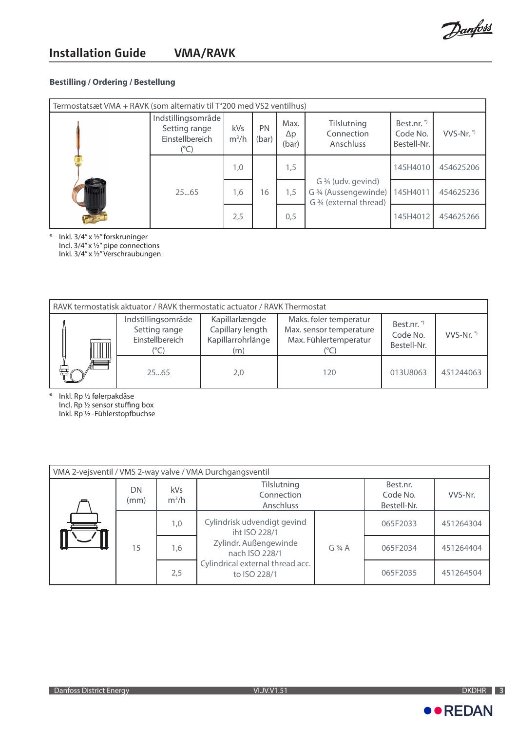

## **Bestilling / Ordering / Bestellung**

| Termostatsæt VMA + RAVK (som alternativ til $T^{\circ}$ 200 med VS2 ventilhus) |                                                                |                |             |                             |                                                                         |                                                  |           |
|--------------------------------------------------------------------------------|----------------------------------------------------------------|----------------|-------------|-----------------------------|-------------------------------------------------------------------------|--------------------------------------------------|-----------|
|                                                                                | Indstillingsområde<br>Setting range<br>Einstellbereich<br>(°C) | kVs<br>$m^3/h$ | PN<br>(bar) | Max.<br>$\Delta p$<br>(bar) | Tilslutning<br>Connection<br>Anschluss                                  | Best.nr. <sup>*</sup><br>Code No.<br>Bestell-Nr. | $VVS-Nr.$ |
|                                                                                |                                                                | 1,0            |             | 1,5                         |                                                                         | 145H4010                                         | 454625206 |
| $\frac{1}{\sqrt{2}}$                                                           | 25.65                                                          | 1,6            | 16          | 1,5                         | G 3/4 (udv. gevind)<br>G 3/4 (Aussengewinde)<br>G 3/4 (external thread) | 145H4011                                         | 454625236 |
|                                                                                |                                                                | 2,5            |             | 0,5                         |                                                                         | 145H4012                                         | 454625266 |

\* Inkl. 3/4" x ½" forskruninger Incl. 3/4" x ½" pipe connections Inkl. 3/4" x ½" Verschraubungen

| RAVK termostatisk aktuator / RAVK thermostatic actuator / RAVK Thermostat |                                                        |                                                                |                                                                            |                                                  |           |  |  |
|---------------------------------------------------------------------------|--------------------------------------------------------|----------------------------------------------------------------|----------------------------------------------------------------------------|--------------------------------------------------|-----------|--|--|
|                                                                           | Indstillingsområde<br>Setting range<br>Einstellbereich | Kapillarlængde<br>Capillary length<br>Kapillarrohrlänge<br>(m) | Maks. føler temperatur<br>Max. sensor temperature<br>Max. Fühlertemperatur | Best.nr. <sup>*</sup><br>Code No.<br>Bestell-Nr. | $VVS-Nr.$ |  |  |
| 霉                                                                         | 2565                                                   | 2,0                                                            | 120                                                                        | 013U8063                                         | 451244063 |  |  |

\* Inkl. Rp ½ følerpakdåse Incl. Rp ½ sensor stuffing box Inkl. Rp ½ -Fühlerstopfbuchse

| VMA 2-vejsventil / VMS 2-way valve / VMA Durchgangsventil |            |                |                                                  |                                     |          |           |  |  |
|-----------------------------------------------------------|------------|----------------|--------------------------------------------------|-------------------------------------|----------|-----------|--|--|
|                                                           | DN<br>(mm) | kVs<br>$m^3/h$ | Tilslutning<br>Connection<br>Anschluss           | Best.nr.<br>Code No.<br>Bestell-Nr. | VVS-Nr.  |           |  |  |
|                                                           | 15         | 1,0            | Cylindrisk udvendigt gevind<br>iht ISO 228/1     | $G_3/4A$                            | 065F2033 | 451264304 |  |  |
|                                                           |            | 1,6            | Zylindr. Außengewinde<br>nach ISO 228/1          |                                     | 065F2034 | 451264404 |  |  |
|                                                           |            | 2,5            | Cylindrical external thread acc.<br>to ISO 228/1 |                                     | 065F2035 | 451264504 |  |  |